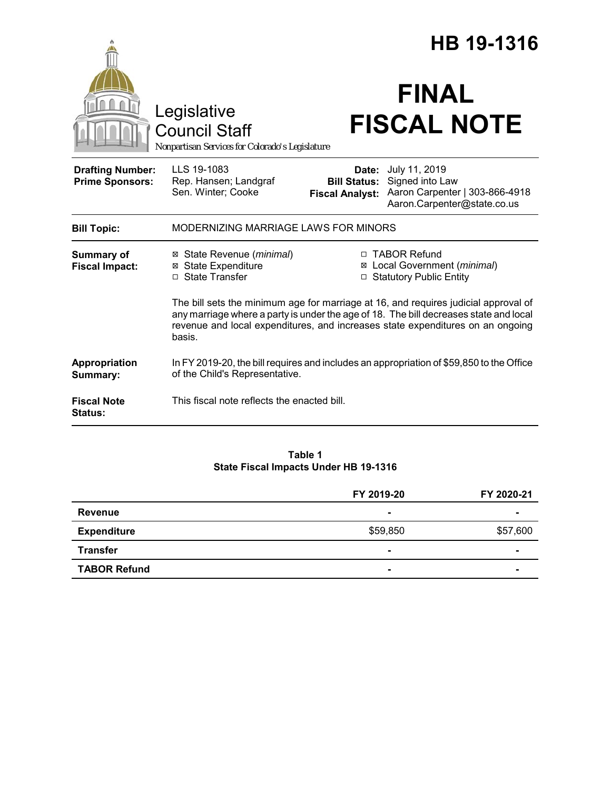|                                                   |                                                                                                                                                                                                                                                                          |                                                        | HB 19-1316                                                                                        |  |
|---------------------------------------------------|--------------------------------------------------------------------------------------------------------------------------------------------------------------------------------------------------------------------------------------------------------------------------|--------------------------------------------------------|---------------------------------------------------------------------------------------------------|--|
|                                                   | Legislative<br><b>Council Staff</b><br>Nonpartisan Services for Colorado's Legislature                                                                                                                                                                                   |                                                        | <b>FINAL</b><br><b>FISCAL NOTE</b>                                                                |  |
| <b>Drafting Number:</b><br><b>Prime Sponsors:</b> | LLS 19-1083<br>Rep. Hansen; Landgraf<br>Sen. Winter; Cooke                                                                                                                                                                                                               | Date:<br><b>Bill Status:</b><br><b>Fiscal Analyst:</b> | July 11, 2019<br>Signed into Law<br>Aaron Carpenter   303-866-4918<br>Aaron.Carpenter@state.co.us |  |
| <b>Bill Topic:</b>                                | MODERNIZING MARRIAGE LAWS FOR MINORS                                                                                                                                                                                                                                     |                                                        |                                                                                                   |  |
| <b>Summary of</b><br><b>Fiscal Impact:</b>        | ⊠ State Revenue ( <i>minimal</i> )<br><b>⊠</b> State Expenditure<br>□ State Transfer                                                                                                                                                                                     |                                                        | □ TABOR Refund<br>⊠ Local Government (minimal)<br>□ Statutory Public Entity                       |  |
|                                                   | The bill sets the minimum age for marriage at 16, and requires judicial approval of<br>any marriage where a party is under the age of 18. The bill decreases state and local<br>revenue and local expenditures, and increases state expenditures on an ongoing<br>basis. |                                                        |                                                                                                   |  |
| Appropriation<br>Summary:                         | In FY 2019-20, the bill requires and includes an appropriation of \$59,850 to the Office<br>of the Child's Representative.                                                                                                                                               |                                                        |                                                                                                   |  |
| <b>Fiscal Note</b><br>Status:                     | This fiscal note reflects the enacted bill.                                                                                                                                                                                                                              |                                                        |                                                                                                   |  |

#### **Table 1 State Fiscal Impacts Under HB 19-1316**

|                     | FY 2019-20     | FY 2020-21 |
|---------------------|----------------|------------|
| <b>Revenue</b>      | $\blacksquare$ |            |
| <b>Expenditure</b>  | \$59,850       | \$57,600   |
| <b>Transfer</b>     | $\blacksquare$ | $\sim$     |
| <b>TABOR Refund</b> | $\blacksquare$ |            |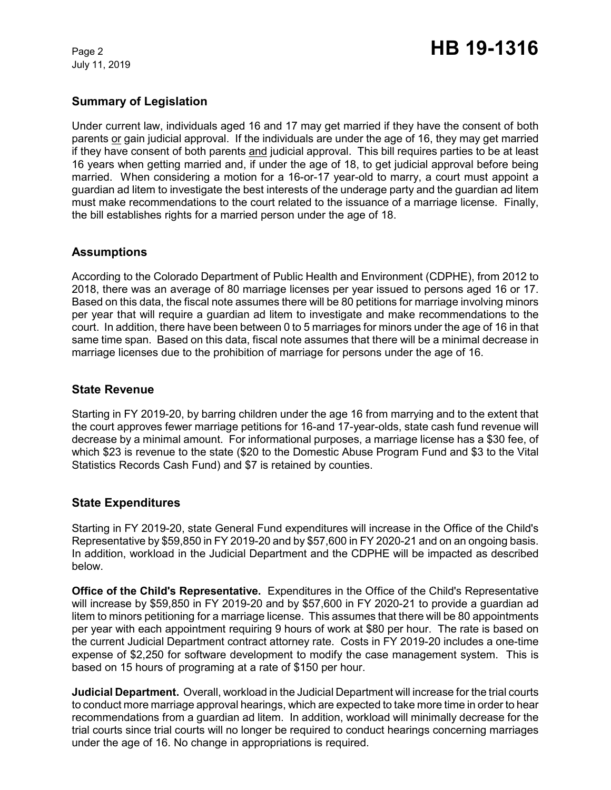July 11, 2019

# **Summary of Legislation**

Under current law, individuals aged 16 and 17 may get married if they have the consent of both parents or gain judicial approval. If the individuals are under the age of 16, they may get married if they have consent of both parents and judicial approval. This bill requires parties to be at least 16 years when getting married and, if under the age of 18, to get judicial approval before being married. When considering a motion for a 16-or-17 year-old to marry, a court must appoint a guardian ad litem to investigate the best interests of the underage party and the guardian ad litem must make recommendations to the court related to the issuance of a marriage license. Finally, the bill establishes rights for a married person under the age of 18.

## **Assumptions**

According to the Colorado Department of Public Health and Environment (CDPHE), from 2012 to 2018, there was an average of 80 marriage licenses per year issued to persons aged 16 or 17. Based on this data, the fiscal note assumes there will be 80 petitions for marriage involving minors per year that will require a guardian ad litem to investigate and make recommendations to the court. In addition, there have been between 0 to 5 marriages for minors under the age of 16 in that same time span. Based on this data, fiscal note assumes that there will be a minimal decrease in marriage licenses due to the prohibition of marriage for persons under the age of 16.

### **State Revenue**

Starting in FY 2019-20, by barring children under the age 16 from marrying and to the extent that the court approves fewer marriage petitions for 16-and 17-year-olds, state cash fund revenue will decrease by a minimal amount. For informational purposes, a marriage license has a \$30 fee, of which \$23 is revenue to the state (\$20 to the Domestic Abuse Program Fund and \$3 to the Vital Statistics Records Cash Fund) and \$7 is retained by counties.

### **State Expenditures**

Starting in FY 2019-20, state General Fund expenditures will increase in the Office of the Child's Representative by \$59,850 in FY 2019-20 and by \$57,600 in FY 2020-21 and on an ongoing basis. In addition, workload in the Judicial Department and the CDPHE will be impacted as described below.

**Office of the Child's Representative.** Expenditures in the Office of the Child's Representative will increase by \$59,850 in FY 2019-20 and by \$57,600 in FY 2020-21 to provide a guardian ad litem to minors petitioning for a marriage license. This assumes that there will be 80 appointments per year with each appointment requiring 9 hours of work at \$80 per hour. The rate is based on the current Judicial Department contract attorney rate. Costs in FY 2019-20 includes a one-time expense of \$2,250 for software development to modify the case management system. This is based on 15 hours of programing at a rate of \$150 per hour.

**Judicial Department.** Overall, workload in the Judicial Department will increase for the trial courts to conduct more marriage approval hearings, which are expected to take more time in order to hear recommendations from a guardian ad litem. In addition, workload will minimally decrease for the trial courts since trial courts will no longer be required to conduct hearings concerning marriages under the age of 16. No change in appropriations is required.